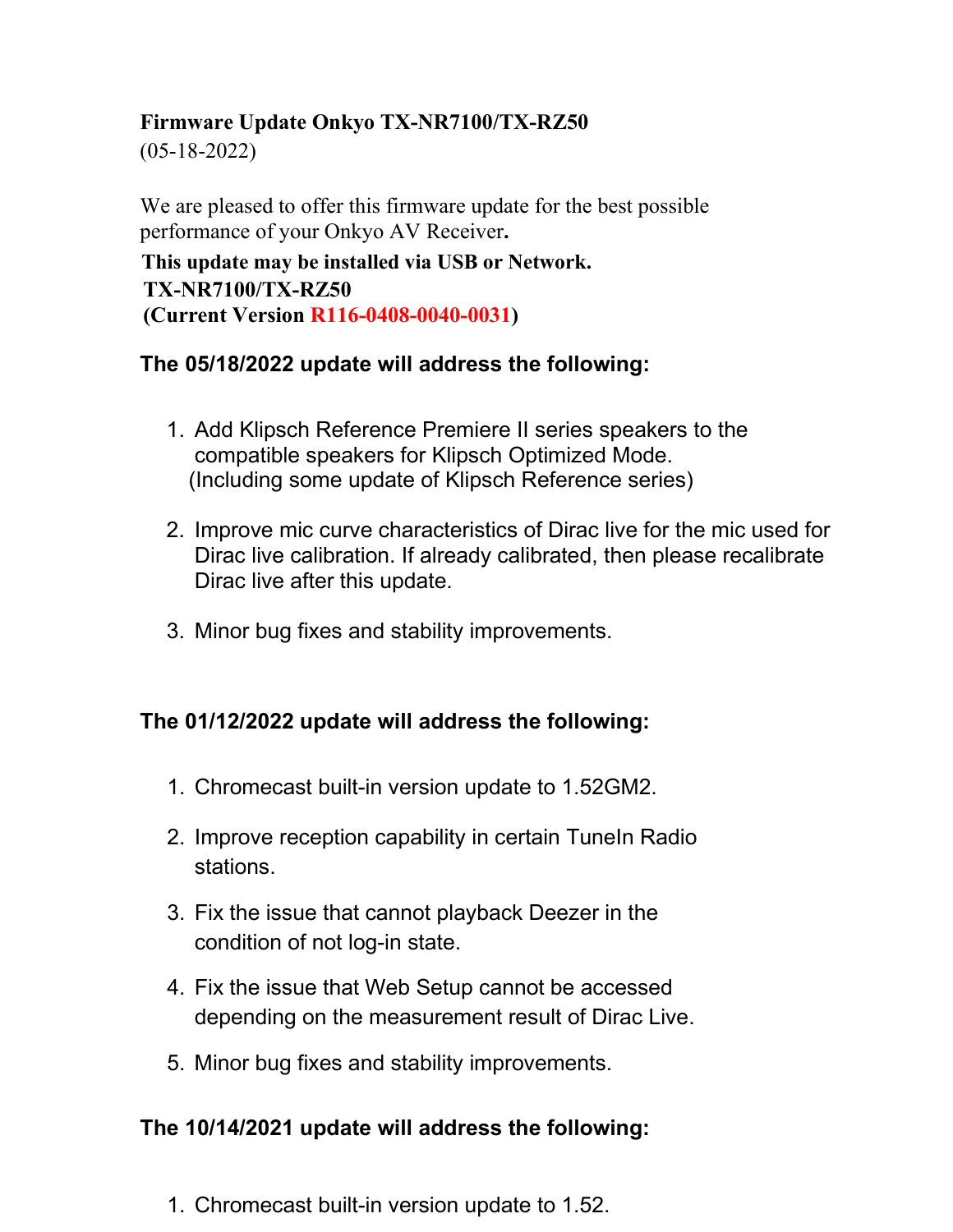### **Firmware Update Onkyo TX-NR7100/TX-RZ50**

(05-18-2022)

We are pleased to offer this firmware update for the best possible performance of your Onkyo AV Receiver**.**

**This update may be installed via USB or Network. TX-NR7100/TX-RZ50 (Current Version R116-0408-0040-0031)**

#### **The 05/18/2022 update will address the following:**

- 1. Add Klipsch Reference Premiere II series speakers to the compatible speakers for Klipsch Optimized Mode. (Including some update of Klipsch Reference series)
- 2. Improve mic curve characteristics of Dirac live for the mic used for Dirac live calibration. If already calibrated, then please recalibrate Dirac live after this update.
- 3. Minor bug fixes and stability improvements.

# **The 01/12/2022 update will address the following:**

- 1. Chromecast built-in version update to 1.52GM2.
- 2. Improve reception capability in certain Tuneln Radio stations.
- 3. Fix the issue that cannot playback Deezer in the condition of not log-in state.
- 4. Fix the issue that Web Setup cannot be accessed depending on the measurement result of Dirac Live.
- 5. Minor bug fixes and stability improvements.

#### **The 10/14/2021 update will address the following:**

1. Chromecast built-in version update to 1.52.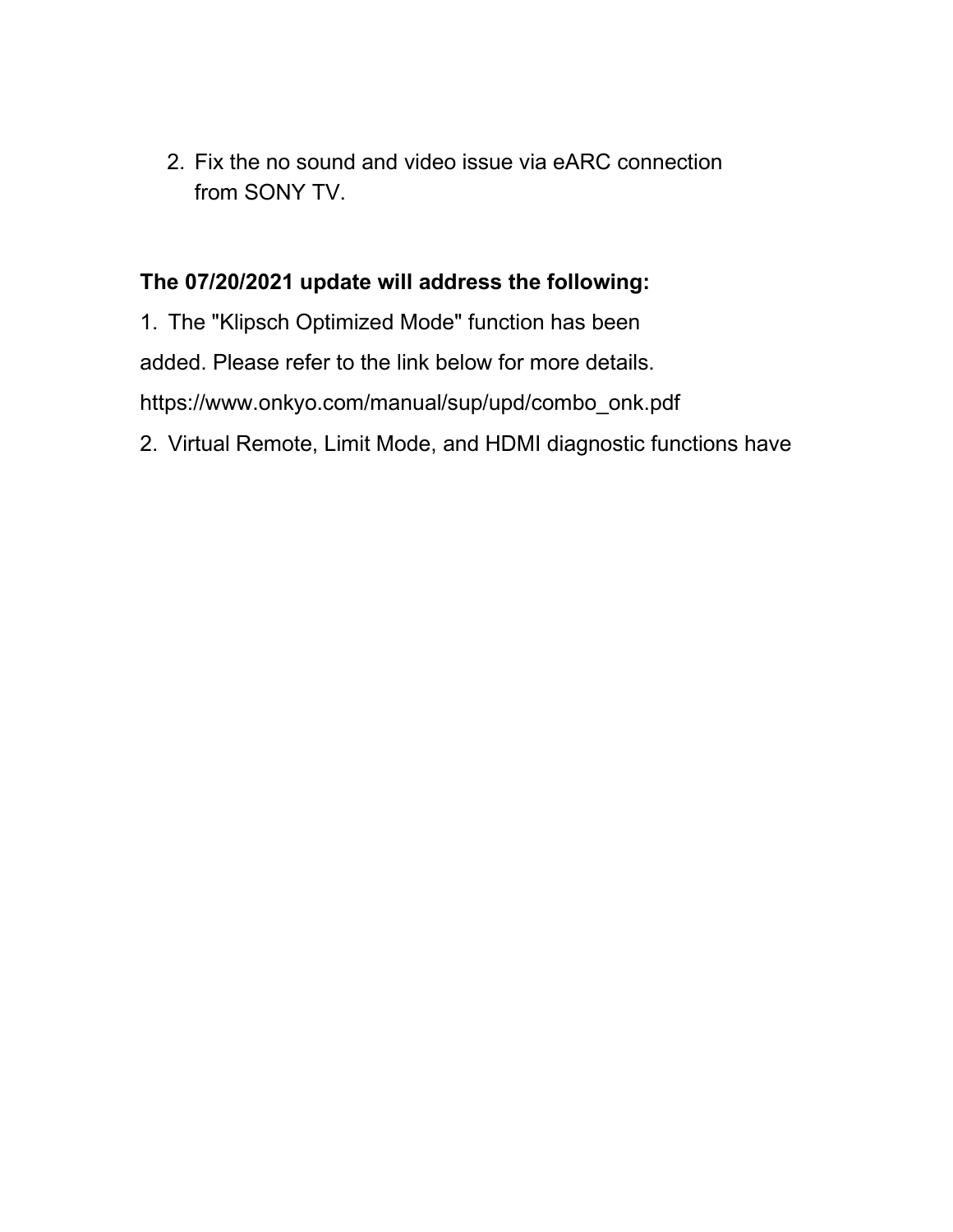2. Fix the no sound and video issue via eARC connection from SONY TV.

### **The 07/20/2021 update will address the following:**

1. The "Klipsch Optimized Mode" function has been

added. Please refer to the link below for more details.

https://www.onkyo.com/manual/sup/upd/combo\_onk.pdf

2. Virtual Remote, Limit Mode, and HDMI diagnostic functions have